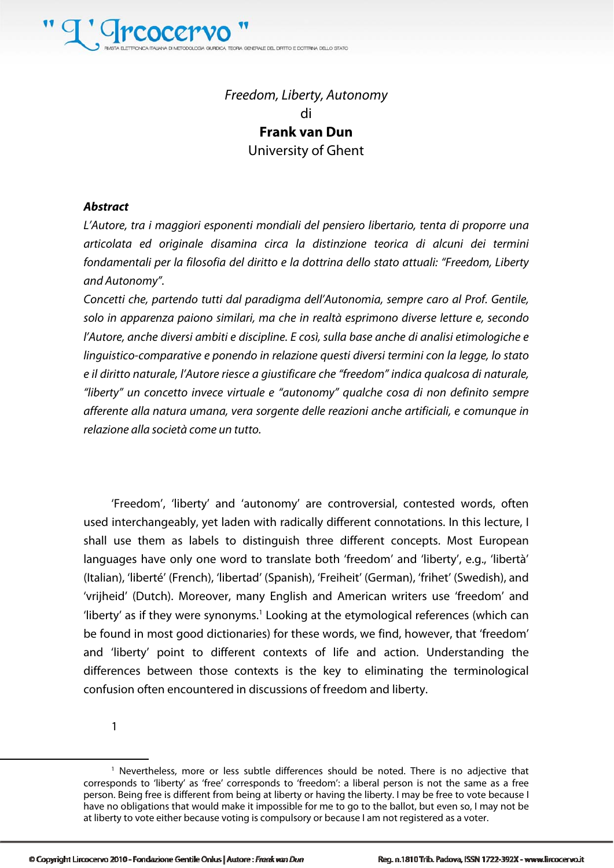

### Freedom, Liberty, Autonomy di **Frank van Dun**  University of Ghent

#### **Abstract**

L'Autore, tra i maggiori esponenti mondiali del pensiero libertario, tenta di proporre una articolata ed originale disamina circa la distinzione teorica di alcuni dei termini fondamentali per la filosofia del diritto e la dottrina dello stato attuali: "Freedom, Liberty and Autonomy".

Concetti che, partendo tutti dal paradigma dell'Autonomia, sempre caro al Prof. Gentile, solo in apparenza paiono similari, ma che in realtà esprimono diverse letture e, secondo l'Autore, anche diversi ambiti e discipline. E così, sulla base anche di analisi etimologiche e linguistico-comparative e ponendo in relazione questi diversi termini con la legge, lo stato e il diritto naturale, l'Autore riesce a giustificare che "freedom" indica qualcosa di naturale, "liberty" un concetto invece virtuale e "autonomy" qualche cosa di non definito sempre afferente alla natura umana, vera sorgente delle reazioni anche artificiali, e comunque in relazione alla società come un tutto.

'Freedom', 'liberty' and 'autonomy' are controversial, contested words, often used interchangeably, yet laden with radically different connotations. In this lecture, I shall use them as labels to distinguish three different concepts. Most European languages have only one word to translate both 'freedom' and 'liberty', e.g., 'libertà' (Italian), 'liberté' (French), 'libertad' (Spanish), 'Freiheit' (German), 'frihet' (Swedish), and 'vrijheid' (Dutch). Moreover, many English and American writers use 'freedom' and 'liberty' as if they were synonyms.<sup>1</sup> Looking at the etymological references (which can be found in most good dictionaries) for these words, we find, however, that 'freedom' and 'liberty' point to different contexts of life and action. Understanding the differences between those contexts is the key to eliminating the terminological confusion often encountered in discussions of freedom and liberty.

1

<sup>1</sup> Nevertheless, more or less subtle differences should be noted. There is no adjective that corresponds to 'liberty' as 'free' corresponds to 'freedom': a liberal person is not the same as a free person. Being free is different from being at liberty or having the liberty. I may be free to vote because I have no obligations that would make it impossible for me to go to the ballot, but even so, I may not be at liberty to vote either because voting is compulsory or because I am not registered as a voter.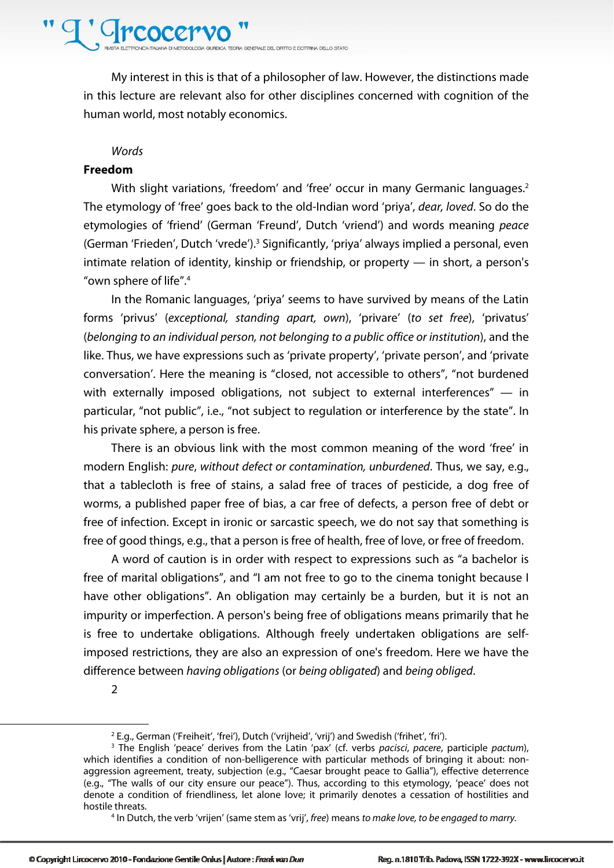### Crcocer

A GURDICA TECRA GENERALE DEL DRITTO E DOTTRINA DELLO STATO

My interest in this is that of a philosopher of law. However, the distinctions made in this lecture are relevant also for other disciplines concerned with cognition of the human world, most notably economics.

#### **Words**

#### **Freedom**

With slight variations, 'freedom' and 'free' occur in many Germanic languages.<sup>2</sup> The etymology of 'free' goes back to the old-Indian word 'priya', dear, loved. So do the etymologies of 'friend' (German 'Freund', Dutch 'vriend') and words meaning peace (German 'Frieden', Dutch 'vrede').<sup>3</sup> Significantly, 'priya' always implied a personal, even intimate relation of identity, kinship or friendship, or property — in short, a person's "own sphere of life".4

In the Romanic languages, 'priya' seems to have survived by means of the Latin forms 'privus' (exceptional, standing apart, own), 'privare' (to set free), 'privatus' (belonging to an individual person, not belonging to a public office or institution), and the like. Thus, we have expressions such as 'private property', 'private person', and 'private conversation'. Here the meaning is "closed, not accessible to others", "not burdened with externally imposed obligations, not subject to external interferences" - in particular, "not public", i.e., "not subject to regulation or interference by the state". In his private sphere, a person is free.

There is an obvious link with the most common meaning of the word 'free' in modern English: pure, without defect or contamination, unburdened. Thus, we say, e.g., that a tablecloth is free of stains, a salad free of traces of pesticide, a dog free of worms, a published paper free of bias, a car free of defects, a person free of debt or free of infection. Except in ironic or sarcastic speech, we do not say that something is free of good things, e.g., that a person is free of health, free of love, or free of freedom.

A word of caution is in order with respect to expressions such as "a bachelor is free of marital obligations", and "I am not free to go to the cinema tonight because I have other obligations". An obligation may certainly be a burden, but it is not an impurity or imperfection. A person's being free of obligations means primarily that he is free to undertake obligations. Although freely undertaken obligations are selfimposed restrictions, they are also an expression of one's freedom. Here we have the difference between having obligations (or being obligated) and being obliged.

2

<sup>&</sup>lt;sup>2</sup> E.g., German ('Freiheit', 'frei'), Dutch ('vrijheid', 'vrij') and Swedish ('frihet', 'fri').

<sup>&</sup>lt;sup>3</sup> The English 'peace' derives from the Latin 'pax' (cf. verbs pacisci, pacere, participle pactum), which identifies a condition of non-belligerence with particular methods of bringing it about: nonaggression agreement, treaty, subjection (e.g., "Caesar brought peace to Gallia"), effective deterrence (e.g., "The walls of our city ensure our peace"). Thus, according to this etymology, 'peace' does not denote a condition of friendliness, let alone love; it primarily denotes a cessation of hostilities and hostile threats. 4

<sup>&</sup>lt;sup>4</sup> In Dutch, the verb 'vrijen' (same stem as 'vrij', free) means to make love, to be engaged to marry.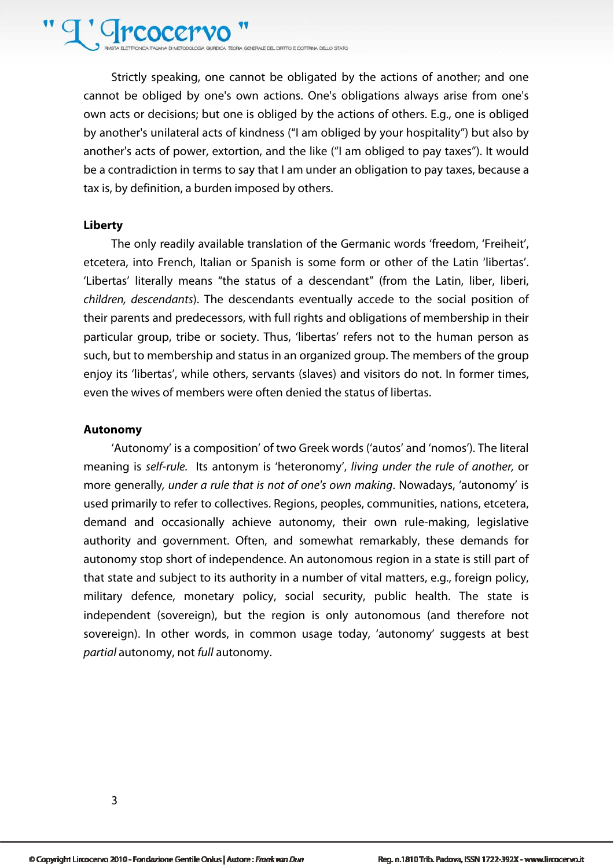## ' *C*rcocer

GLEDCA TECHA GENERALE DEL DEITO E DOTTENA DE LO STATO

Strictly speaking, one cannot be obligated by the actions of another; and one cannot be obliged by one's own actions. One's obligations always arise from one's own acts or decisions; but one is obliged by the actions of others. E.g., one is obliged by another's unilateral acts of kindness ("I am obliged by your hospitality") but also by another's acts of power, extortion, and the like ("I am obliged to pay taxes"). It would be a contradiction in terms to say that I am under an obligation to pay taxes, because a tax is, by definition, a burden imposed by others.

#### **Liberty**

The only readily available translation of the Germanic words 'freedom, 'Freiheit', etcetera, into French, Italian or Spanish is some form or other of the Latin 'libertas'. 'Libertas' literally means "the status of a descendant" (from the Latin, liber, liberi, children, descendants). The descendants eventually accede to the social position of their parents and predecessors, with full rights and obligations of membership in their particular group, tribe or society. Thus, 'libertas' refers not to the human person as such, but to membership and status in an organized group. The members of the group enjoy its 'libertas', while others, servants (slaves) and visitors do not. In former times, even the wives of members were often denied the status of libertas.

#### **Autonomy**

'Autonomy' is a composition' of two Greek words ('autos' and 'nomos'). The literal meaning is self-rule. Its antonym is 'heteronomy', living under the rule of another, or more generally, under a rule that is not of one's own making. Nowadays, 'autonomy' is used primarily to refer to collectives. Regions, peoples, communities, nations, etcetera, demand and occasionally achieve autonomy, their own rule-making, legislative authority and government. Often, and somewhat remarkably, these demands for autonomy stop short of independence. An autonomous region in a state is still part of that state and subject to its authority in a number of vital matters, e.g., foreign policy, military defence, monetary policy, social security, public health. The state is independent (sovereign), but the region is only autonomous (and therefore not sovereign). In other words, in common usage today, 'autonomy' suggests at best partial autonomy, not full autonomy.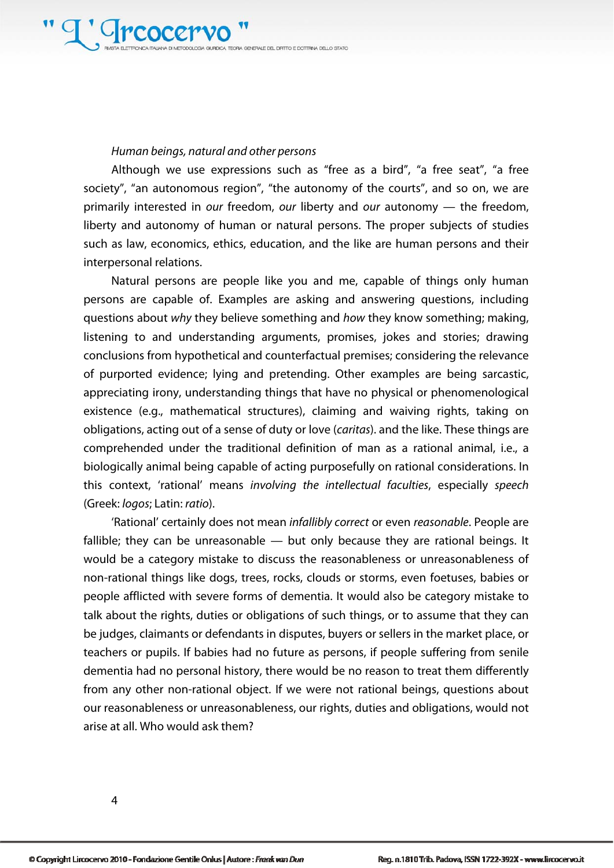#### Human beings, natural and other persons

Although we use expressions such as "free as a bird", "a free seat", "a free society", "an autonomous region", "the autonomy of the courts", and so on, we are primarily interested in our freedom, our liberty and our autonomy — the freedom, liberty and autonomy of human or natural persons. The proper subjects of studies such as law, economics, ethics, education, and the like are human persons and their interpersonal relations.

Natural persons are people like you and me, capable of things only human persons are capable of. Examples are asking and answering questions, including questions about why they believe something and how they know something; making, listening to and understanding arguments, promises, jokes and stories; drawing conclusions from hypothetical and counterfactual premises; considering the relevance of purported evidence; lying and pretending. Other examples are being sarcastic, appreciating irony, understanding things that have no physical or phenomenological existence (e.g., mathematical structures), claiming and waiving rights, taking on obligations, acting out of a sense of duty or love (caritas). and the like. These things are comprehended under the traditional definition of man as a rational animal, i.e., a biologically animal being capable of acting purposefully on rational considerations. In this context, 'rational' means involving the intellectual faculties, especially speech (Greek: logos; Latin: ratio).

'Rational' certainly does not mean infallibly correct or even reasonable. People are fallible; they can be unreasonable — but only because they are rational beings. It would be a category mistake to discuss the reasonableness or unreasonableness of non-rational things like dogs, trees, rocks, clouds or storms, even foetuses, babies or people afflicted with severe forms of dementia. It would also be category mistake to talk about the rights, duties or obligations of such things, or to assume that they can be judges, claimants or defendants in disputes, buyers or sellers in the market place, or teachers or pupils. If babies had no future as persons, if people suffering from senile dementia had no personal history, there would be no reason to treat them differently from any other non-rational object. If we were not rational beings, questions about our reasonableness or unreasonableness, our rights, duties and obligations, would not arise at all. Who would ask them?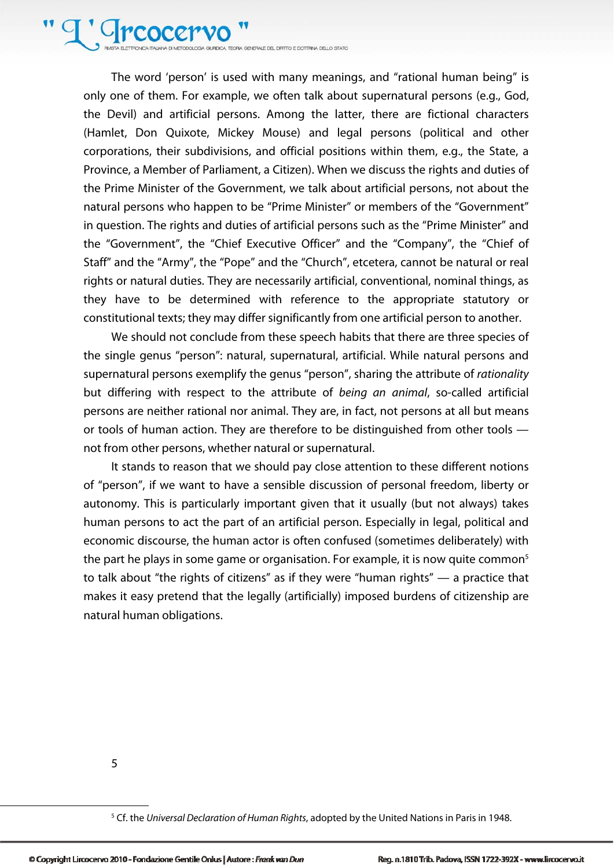'Creocer GURDICA TECRA GENERALE DEL DIRITTO E DOTTRINA DELLO STATO

The word 'person' is used with many meanings, and "rational human being" is only one of them. For example, we often talk about supernatural persons (e.g., God, the Devil) and artificial persons. Among the latter, there are fictional characters (Hamlet, Don Quixote, Mickey Mouse) and legal persons (political and other corporations, their subdivisions, and official positions within them, e.g., the State, a Province, a Member of Parliament, a Citizen). When we discuss the rights and duties of the Prime Minister of the Government, we talk about artificial persons, not about the natural persons who happen to be "Prime Minister" or members of the "Government" in question. The rights and duties of artificial persons such as the "Prime Minister" and the "Government", the "Chief Executive Officer" and the "Company", the "Chief of Staff" and the "Army", the "Pope" and the "Church", etcetera, cannot be natural or real rights or natural duties. They are necessarily artificial, conventional, nominal things, as they have to be determined with reference to the appropriate statutory or constitutional texts; they may differ significantly from one artificial person to another.

We should not conclude from these speech habits that there are three species of the single genus "person": natural, supernatural, artificial. While natural persons and supernatural persons exemplify the genus "person", sharing the attribute of *rationality* but differing with respect to the attribute of being an animal, so-called artificial persons are neither rational nor animal. They are, in fact, not persons at all but means or tools of human action. They are therefore to be distinguished from other tools not from other persons, whether natural or supernatural.

It stands to reason that we should pay close attention to these different notions of "person", if we want to have a sensible discussion of personal freedom, liberty or autonomy. This is particularly important given that it usually (but not always) takes human persons to act the part of an artificial person. Especially in legal, political and economic discourse, the human actor is often confused (sometimes deliberately) with the part he plays in some game or organisation. For example, it is now quite common<sup>5</sup> to talk about "the rights of citizens" as if they were "human rights" — a practice that makes it easy pretend that the legally (artificially) imposed burdens of citizenship are natural human obligations.

5

<sup>&</sup>lt;sup>5</sup> Cf. the Universal Declaration of Human Rights, adopted by the United Nations in Paris in 1948.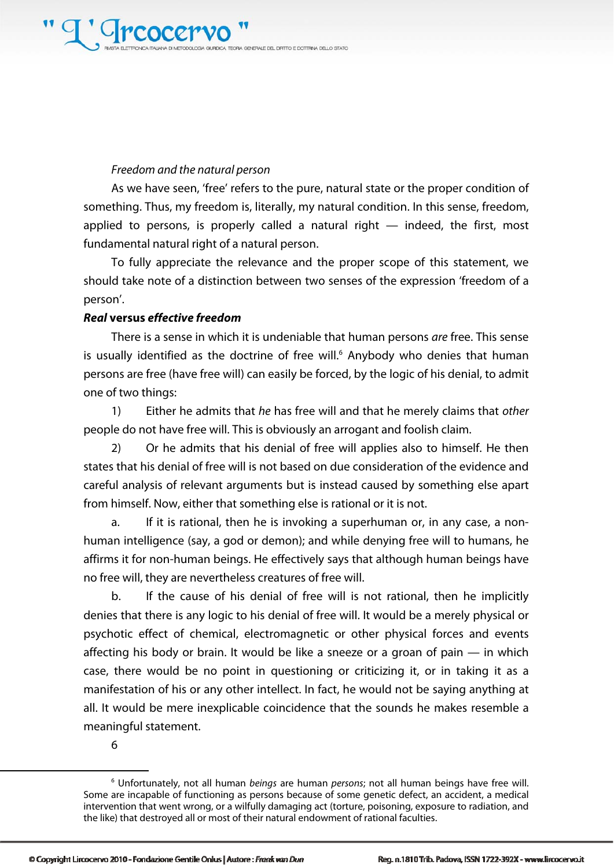#### Freedom and the natural person

As we have seen, 'free' refers to the pure, natural state or the proper condition of something. Thus, my freedom is, literally, my natural condition. In this sense, freedom, applied to persons, is properly called a natural right — indeed, the first, most fundamental natural right of a natural person.

To fully appreciate the relevance and the proper scope of this statement, we should take note of a distinction between two senses of the expression 'freedom of a person'.

#### **Real versus effective freedom**

There is a sense in which it is undeniable that human persons are free. This sense is usually identified as the doctrine of free will.<sup>6</sup> Anybody who denies that human persons are free (have free will) can easily be forced, by the logic of his denial, to admit one of two things:

1) Either he admits that he has free will and that he merely claims that other people do not have free will. This is obviously an arrogant and foolish claim.

2) Or he admits that his denial of free will applies also to himself. He then states that his denial of free will is not based on due consideration of the evidence and careful analysis of relevant arguments but is instead caused by something else apart from himself. Now, either that something else is rational or it is not.

a. If it is rational, then he is invoking a superhuman or, in any case, a nonhuman intelligence (say, a god or demon); and while denying free will to humans, he affirms it for non-human beings. He effectively says that although human beings have no free will, they are nevertheless creatures of free will.

b. If the cause of his denial of free will is not rational, then he implicitly denies that there is any logic to his denial of free will. It would be a merely physical or psychotic effect of chemical, electromagnetic or other physical forces and events affecting his body or brain. It would be like a sneeze or a groan of pain — in which case, there would be no point in questioning or criticizing it, or in taking it as a manifestation of his or any other intellect. In fact, he would not be saying anything at all. It would be mere inexplicable coincidence that the sounds he makes resemble a meaningful statement.

6

<sup>&</sup>lt;sup>6</sup> Unfortunately, not all human beings are human persons; not all human beings have free will. Some are incapable of functioning as persons because of some genetic defect, an accident, a medical intervention that went wrong, or a wilfully damaging act (torture, poisoning, exposure to radiation, and the like) that destroyed all or most of their natural endowment of rational faculties.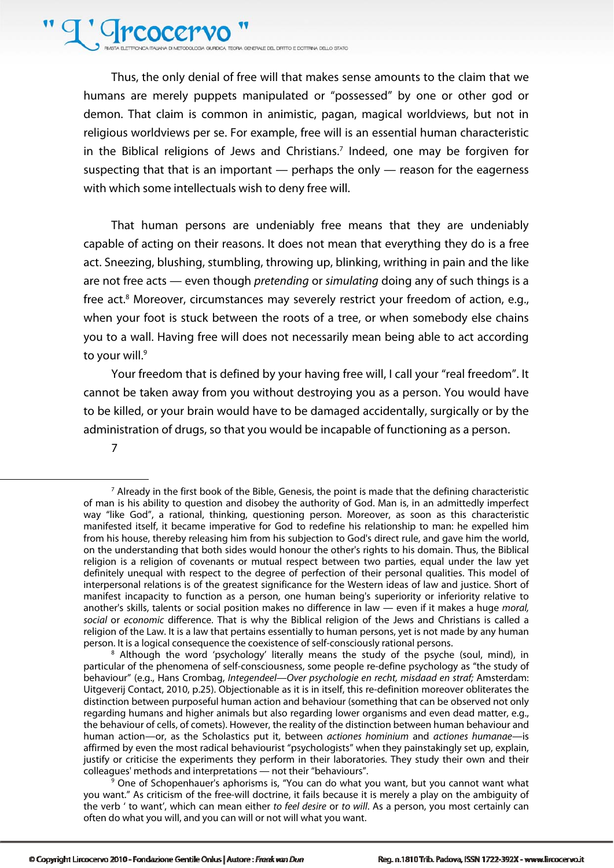### T' Greocery

**CLOGIA GIURDICA TEORIA GENERALE DEL DIRITTO E DOTTRINA DELLO STATO** 

Thus, the only denial of free will that makes sense amounts to the claim that we humans are merely puppets manipulated or "possessed" by one or other god or demon. That claim is common in animistic, pagan, magical worldviews, but not in religious worldviews per se. For example, free will is an essential human characteristic in the Biblical religions of Jews and Christians.<sup>7</sup> Indeed, one may be forgiven for suspecting that that is an important — perhaps the only — reason for the eagerness with which some intellectuals wish to deny free will.

That human persons are undeniably free means that they are undeniably capable of acting on their reasons. It does not mean that everything they do is a free act. Sneezing, blushing, stumbling, throwing up, blinking, writhing in pain and the like are not free acts — even though pretending or simulating doing any of such things is a free act.<sup>8</sup> Moreover, circumstances may severely restrict your freedom of action, e.g., when your foot is stuck between the roots of a tree, or when somebody else chains you to a wall. Having free will does not necessarily mean being able to act according to your will.<sup>9</sup>

Your freedom that is defined by your having free will, I call your "real freedom". It cannot be taken away from you without destroying you as a person. You would have to be killed, or your brain would have to be damaged accidentally, surgically or by the administration of drugs, so that you would be incapable of functioning as a person.

7

l

 Although the word 'psychology' literally means the study of the psyche (soul, mind), in particular of the phenomena of self-consciousness, some people re-define psychology as "the study of behaviour" (e.g., Hans Crombag, Integendeel—Over psychologie en recht, misdaad en straf; Amsterdam: Uitgeverij Contact, 2010, p.25). Objectionable as it is in itself, this re-definition moreover obliterates the distinction between purposeful human action and behaviour (something that can be observed not only regarding humans and higher animals but also regarding lower organisms and even dead matter, e.g., the behaviour of cells, of comets). However, the reality of the distinction between human behaviour and human action—or, as the Scholastics put it, between actiones hominium and actiones humanae—is affirmed by even the most radical behaviourist "psychologists" when they painstakingly set up, explain, justify or criticise the experiments they perform in their laboratories. They study their own and their colleagues' methods and interpretations — not their "behaviours".

 $\frac{1}{9}$  One of Schopenhauer's aphorisms is, "You can do what you want, but you cannot want what you want." As criticism of the free-will doctrine, it fails because it is merely a play on the ambiguity of the verb ' to want', which can mean either to feel desire or to will. As a person, you most certainly can often do what you will, and you can will or not will what you want.

<sup>&</sup>lt;sup>7</sup> Already in the first book of the Bible, Genesis, the point is made that the defining characteristic of man is his ability to question and disobey the authority of God. Man is, in an admittedly imperfect way "like God", a rational, thinking, questioning person. Moreover, as soon as this characteristic manifested itself, it became imperative for God to redefine his relationship to man: he expelled him from his house, thereby releasing him from his subjection to God's direct rule, and gave him the world, on the understanding that both sides would honour the other's rights to his domain. Thus, the Biblical religion is a religion of covenants or mutual respect between two parties, equal under the law yet definitely unequal with respect to the degree of perfection of their personal qualities. This model of interpersonal relations is of the greatest significance for the Western ideas of law and justice. Short of manifest incapacity to function as a person, one human being's superiority or inferiority relative to another's skills, talents or social position makes no difference in law - even if it makes a huge moral, social or economic difference. That is why the Biblical religion of the Jews and Christians is called a religion of the Law. It is a law that pertains essentially to human persons, yet is not made by any human person. It is a logical consequence the coexistence of self-consciously rational persons. 8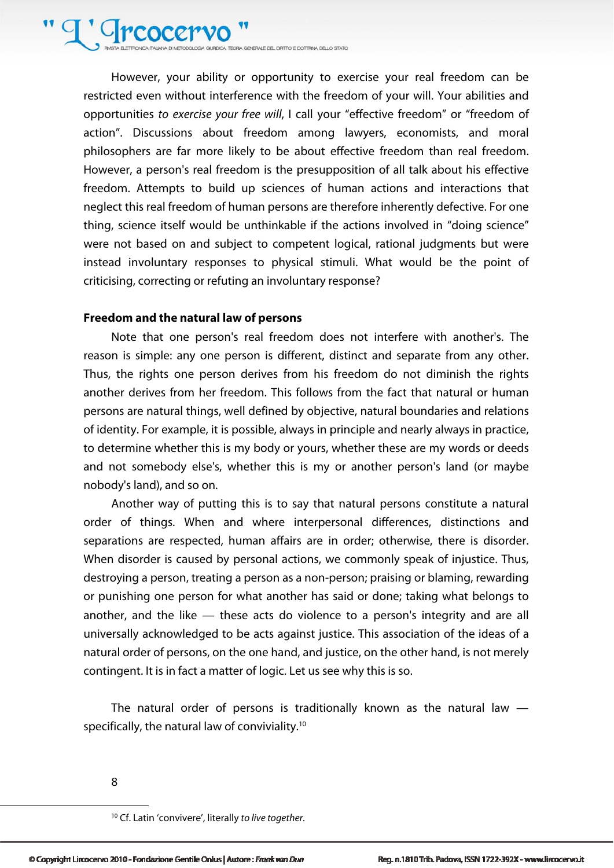**DICA TECRIA GENERALE DEL DRITTO E DOTTRINA DELLO STATO** 

However, your ability or opportunity to exercise your real freedom can be restricted even without interference with the freedom of your will. Your abilities and opportunities to exercise your free will, I call your "effective freedom" or "freedom of action". Discussions about freedom among lawyers, economists, and moral philosophers are far more likely to be about effective freedom than real freedom. However, a person's real freedom is the presupposition of all talk about his effective freedom. Attempts to build up sciences of human actions and interactions that neglect this real freedom of human persons are therefore inherently defective. For one thing, science itself would be unthinkable if the actions involved in "doing science" were not based on and subject to competent logical, rational judgments but were instead involuntary responses to physical stimuli. What would be the point of criticising, correcting or refuting an involuntary response?

#### **Freedom and the natural law of persons**

Note that one person's real freedom does not interfere with another's. The reason is simple: any one person is different, distinct and separate from any other. Thus, the rights one person derives from his freedom do not diminish the rights another derives from her freedom. This follows from the fact that natural or human persons are natural things, well defined by objective, natural boundaries and relations of identity. For example, it is possible, always in principle and nearly always in practice, to determine whether this is my body or yours, whether these are my words or deeds and not somebody else's, whether this is my or another person's land (or maybe nobody's land), and so on.

Another way of putting this is to say that natural persons constitute a natural order of things. When and where interpersonal differences, distinctions and separations are respected, human affairs are in order; otherwise, there is disorder. When disorder is caused by personal actions, we commonly speak of injustice. Thus, destroying a person, treating a person as a non-person; praising or blaming, rewarding or punishing one person for what another has said or done; taking what belongs to another, and the like — these acts do violence to a person's integrity and are all universally acknowledged to be acts against justice. This association of the ideas of a natural order of persons, on the one hand, and justice, on the other hand, is not merely contingent. It is in fact a matter of logic. Let us see why this is so.

The natural order of persons is traditionally known as the natural law  $$ specifically, the natural law of conviviality.<sup>10</sup>

8

<sup>&</sup>lt;sup>10</sup> Cf. Latin 'convivere', literally to live together.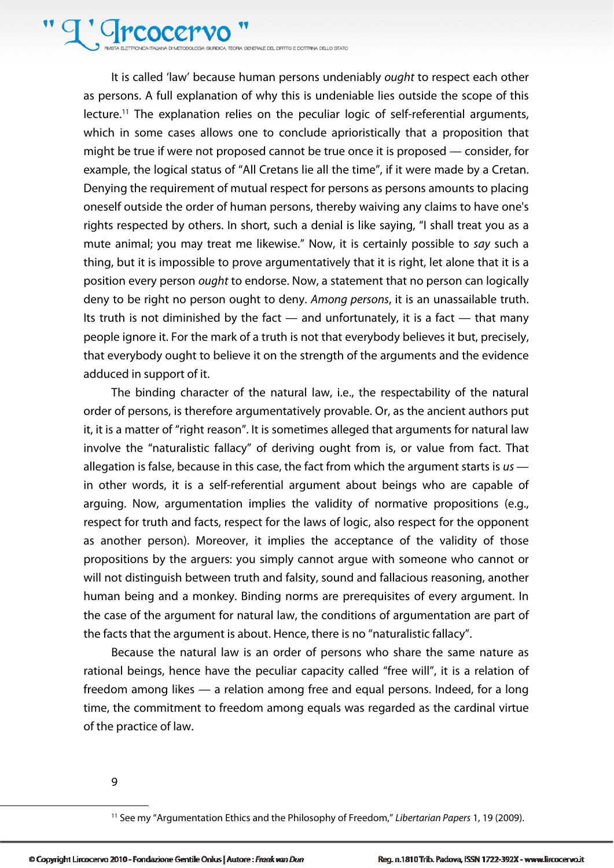<sup>'</sup>Grcocer **DICA TEORA GENERALE DEL DEITO E DOTTRINA DELLO STATO** 

It is called 'law' because human persons undeniably ought to respect each other as persons. A full explanation of why this is undeniable lies outside the scope of this lecture.<sup>11</sup> The explanation relies on the peculiar logic of self-referential arguments, which in some cases allows one to conclude aprioristically that a proposition that might be true if were not proposed cannot be true once it is proposed — consider, for example, the logical status of "All Cretans lie all the time", if it were made by a Cretan. Denying the requirement of mutual respect for persons as persons amounts to placing oneself outside the order of human persons, thereby waiving any claims to have one's rights respected by others. In short, such a denial is like saying, "I shall treat you as a mute animal; you may treat me likewise." Now, it is certainly possible to say such a thing, but it is impossible to prove argumentatively that it is right, let alone that it is a position every person ought to endorse. Now, a statement that no person can logically deny to be right no person ought to deny. Among persons, it is an unassailable truth. Its truth is not diminished by the fact  $-$  and unfortunately, it is a fact  $-$  that many people ignore it. For the mark of a truth is not that everybody believes it but, precisely, that everybody ought to believe it on the strength of the arguments and the evidence adduced in support of it.

The binding character of the natural law, i.e., the respectability of the natural order of persons, is therefore argumentatively provable. Or, as the ancient authors put it, it is a matter of "right reason". It is sometimes alleged that arguments for natural law involve the "naturalistic fallacy" of deriving ought from is, or value from fact. That allegation is false, because in this case, the fact from which the argument starts is  $us$ in other words, it is a self-referential argument about beings who are capable of arguing. Now, argumentation implies the validity of normative propositions (e.g., respect for truth and facts, respect for the laws of logic, also respect for the opponent as another person). Moreover, it implies the acceptance of the validity of those propositions by the arguers: you simply cannot argue with someone who cannot or will not distinguish between truth and falsity, sound and fallacious reasoning, another human being and a monkey. Binding norms are prerequisites of every argument. In the case of the argument for natural law, the conditions of argumentation are part of the facts that the argument is about. Hence, there is no "naturalistic fallacy".

Because the natural law is an order of persons who share the same nature as rational beings, hence have the peculiar capacity called "free will", it is a relation of freedom among likes — a relation among free and equal persons. Indeed, for a long time, the commitment to freedom among equals was regarded as the cardinal virtue of the practice of law.

9

<sup>&</sup>lt;sup>11</sup> See my "Argumentation Ethics and the Philosophy of Freedom," Libertarian Papers 1, 19 (2009).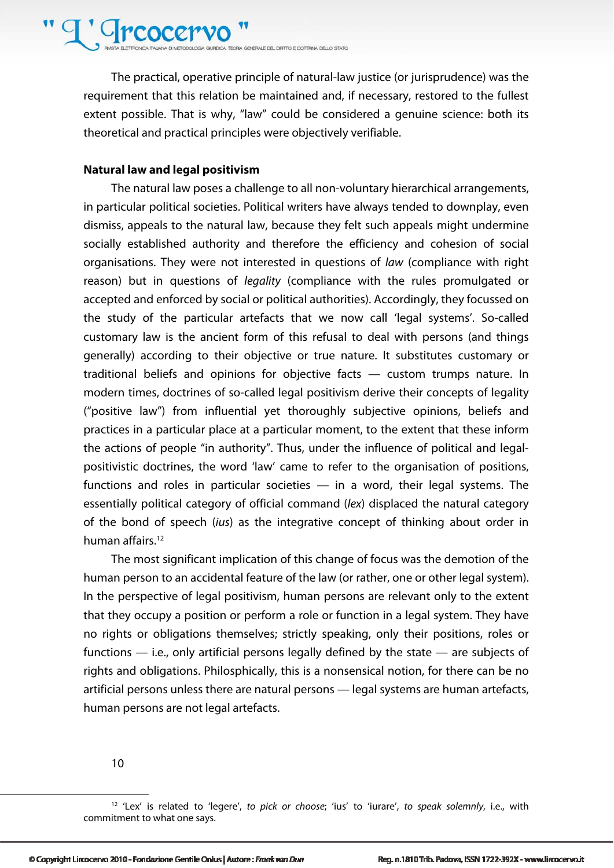## <sup>'</sup>Crcocer

**DICA TEORA GENERALE DEL DEITO E DOTTRINA DELLO STATO** 

The practical, operative principle of natural-law justice (or jurisprudence) was the requirement that this relation be maintained and, if necessary, restored to the fullest extent possible. That is why, "law" could be considered a genuine science: both its theoretical and practical principles were objectively verifiable.

#### **Natural law and legal positivism**

The natural law poses a challenge to all non-voluntary hierarchical arrangements, in particular political societies. Political writers have always tended to downplay, even dismiss, appeals to the natural law, because they felt such appeals might undermine socially established authority and therefore the efficiency and cohesion of social organisations. They were not interested in questions of law (compliance with right reason) but in questions of *legality* (compliance with the rules promulgated or accepted and enforced by social or political authorities). Accordingly, they focussed on the study of the particular artefacts that we now call 'legal systems'. So-called customary law is the ancient form of this refusal to deal with persons (and things generally) according to their objective or true nature. It substitutes customary or traditional beliefs and opinions for objective facts — custom trumps nature. In modern times, doctrines of so-called legal positivism derive their concepts of legality ("positive law") from influential yet thoroughly subjective opinions, beliefs and practices in a particular place at a particular moment, to the extent that these inform the actions of people "in authority". Thus, under the influence of political and legalpositivistic doctrines, the word 'law' came to refer to the organisation of positions, functions and roles in particular societies — in a word, their legal systems. The essentially political category of official command (lex) displaced the natural category of the bond of speech (ius) as the integrative concept of thinking about order in human affairs.<sup>12</sup>

The most significant implication of this change of focus was the demotion of the human person to an accidental feature of the law (or rather, one or other legal system). In the perspective of legal positivism, human persons are relevant only to the extent that they occupy a position or perform a role or function in a legal system. They have no rights or obligations themselves; strictly speaking, only their positions, roles or functions — i.e., only artificial persons legally defined by the state — are subjects of rights and obligations. Philosphically, this is a nonsensical notion, for there can be no artificial persons unless there are natural persons — legal systems are human artefacts, human persons are not legal artefacts.

10

 $\overline{a}$ 

O Copyright Lircocervo 2010 - Fondazione Gentile Onlus | Autore : Frank van Dun

<sup>&</sup>lt;sup>12</sup> 'Lex' is related to 'legere', to pick or choose; 'ius' to 'iurare', to speak solemnly, i.e., with commitment to what one says.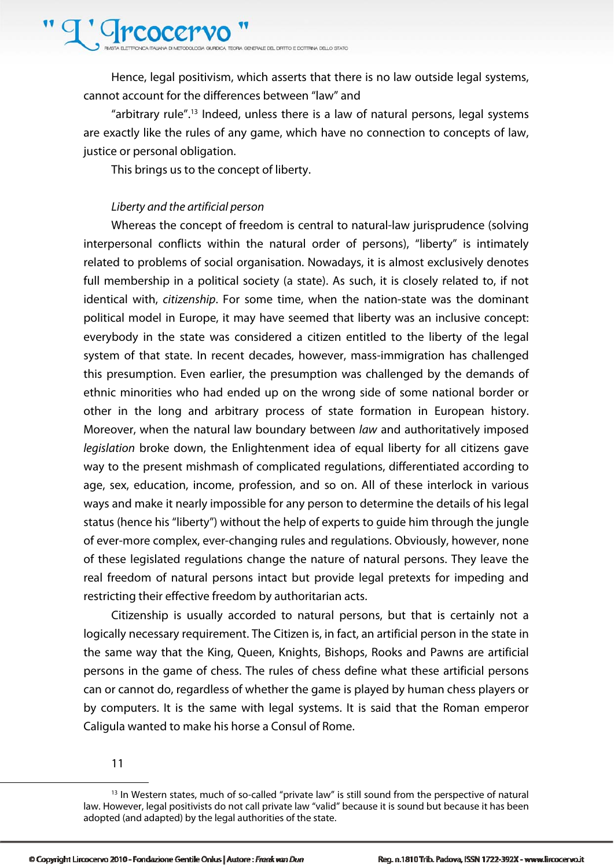### <sup>T</sup>' Greocer

GURDICA TECRA GRAFRAJE DEL DRITTO E DOTTRINA DELLO STATO

Hence, legal positivism, which asserts that there is no law outside legal systems, cannot account for the differences between "law" and

"arbitrary rule".13 Indeed, unless there is a law of natural persons, legal systems are exactly like the rules of any game, which have no connection to concepts of law, justice or personal obligation.

This brings us to the concept of liberty.

#### Liberty and the artificial person

Whereas the concept of freedom is central to natural-law jurisprudence (solving interpersonal conflicts within the natural order of persons), "liberty" is intimately related to problems of social organisation. Nowadays, it is almost exclusively denotes full membership in a political society (a state). As such, it is closely related to, if not identical with, citizenship. For some time, when the nation-state was the dominant political model in Europe, it may have seemed that liberty was an inclusive concept: everybody in the state was considered a citizen entitled to the liberty of the legal system of that state. In recent decades, however, mass-immigration has challenged this presumption. Even earlier, the presumption was challenged by the demands of ethnic minorities who had ended up on the wrong side of some national border or other in the long and arbitrary process of state formation in European history. Moreover, when the natural law boundary between law and authoritatively imposed legislation broke down, the Enlightenment idea of equal liberty for all citizens gave way to the present mishmash of complicated regulations, differentiated according to age, sex, education, income, profession, and so on. All of these interlock in various ways and make it nearly impossible for any person to determine the details of his legal status (hence his "liberty") without the help of experts to guide him through the jungle of ever-more complex, ever-changing rules and regulations. Obviously, however, none of these legislated regulations change the nature of natural persons. They leave the real freedom of natural persons intact but provide legal pretexts for impeding and restricting their effective freedom by authoritarian acts.

Citizenship is usually accorded to natural persons, but that is certainly not a logically necessary requirement. The Citizen is, in fact, an artificial person in the state in the same way that the King, Queen, Knights, Bishops, Rooks and Pawns are artificial persons in the game of chess. The rules of chess define what these artificial persons can or cannot do, regardless of whether the game is played by human chess players or by computers. It is the same with legal systems. It is said that the Roman emperor Caligula wanted to make his horse a Consul of Rome.

11

<sup>&</sup>lt;sup>13</sup> In Western states, much of so-called "private law" is still sound from the perspective of natural law. However, legal positivists do not call private law "valid" because it is sound but because it has been adopted (and adapted) by the legal authorities of the state.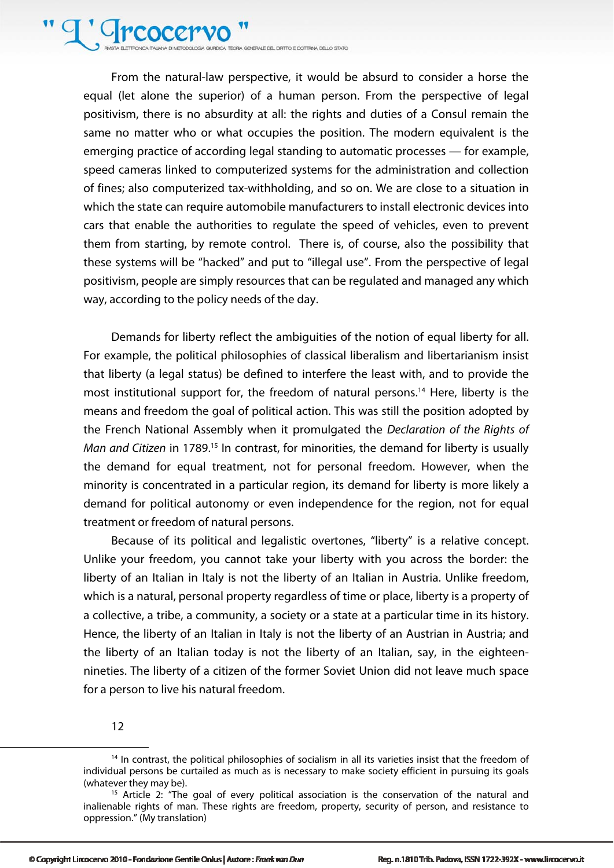<sup>T</sup>' Greocer A GURDICA TEORA GENERALE DEL DIRITTO E DOTTRINA DELLO STATO

From the natural-law perspective, it would be absurd to consider a horse the equal (let alone the superior) of a human person. From the perspective of legal positivism, there is no absurdity at all: the rights and duties of a Consul remain the same no matter who or what occupies the position. The modern equivalent is the emerging practice of according legal standing to automatic processes — for example, speed cameras linked to computerized systems for the administration and collection of fines; also computerized tax-withholding, and so on. We are close to a situation in which the state can require automobile manufacturers to install electronic devices into cars that enable the authorities to regulate the speed of vehicles, even to prevent them from starting, by remote control. There is, of course, also the possibility that these systems will be "hacked" and put to "illegal use". From the perspective of legal positivism, people are simply resources that can be regulated and managed any which way, according to the policy needs of the day.

Demands for liberty reflect the ambiguities of the notion of equal liberty for all. For example, the political philosophies of classical liberalism and libertarianism insist that liberty (a legal status) be defined to interfere the least with, and to provide the most institutional support for, the freedom of natural persons.<sup>14</sup> Here, liberty is the means and freedom the goal of political action. This was still the position adopted by the French National Assembly when it promulgated the Declaration of the Rights of Man and Citizen in 1789.<sup>15</sup> In contrast, for minorities, the demand for liberty is usually the demand for equal treatment, not for personal freedom. However, when the minority is concentrated in a particular region, its demand for liberty is more likely a demand for political autonomy or even independence for the region, not for equal treatment or freedom of natural persons.

Because of its political and legalistic overtones, "liberty" is a relative concept. Unlike your freedom, you cannot take your liberty with you across the border: the liberty of an Italian in Italy is not the liberty of an Italian in Austria. Unlike freedom, which is a natural, personal property regardless of time or place, liberty is a property of a collective, a tribe, a community, a society or a state at a particular time in its history. Hence, the liberty of an Italian in Italy is not the liberty of an Austrian in Austria; and the liberty of an Italian today is not the liberty of an Italian, say, in the eighteennineties. The liberty of a citizen of the former Soviet Union did not leave much space for a person to live his natural freedom.

12

<sup>&</sup>lt;sup>14</sup> In contrast, the political philosophies of socialism in all its varieties insist that the freedom of individual persons be curtailed as much as is necessary to make society efficient in pursuing its goals (whatever they may be).<br><sup>15</sup> Article 2: "The goal of every political association is the conservation of the natural and

inalienable rights of man. These rights are freedom, property, security of person, and resistance to oppression." (My translation)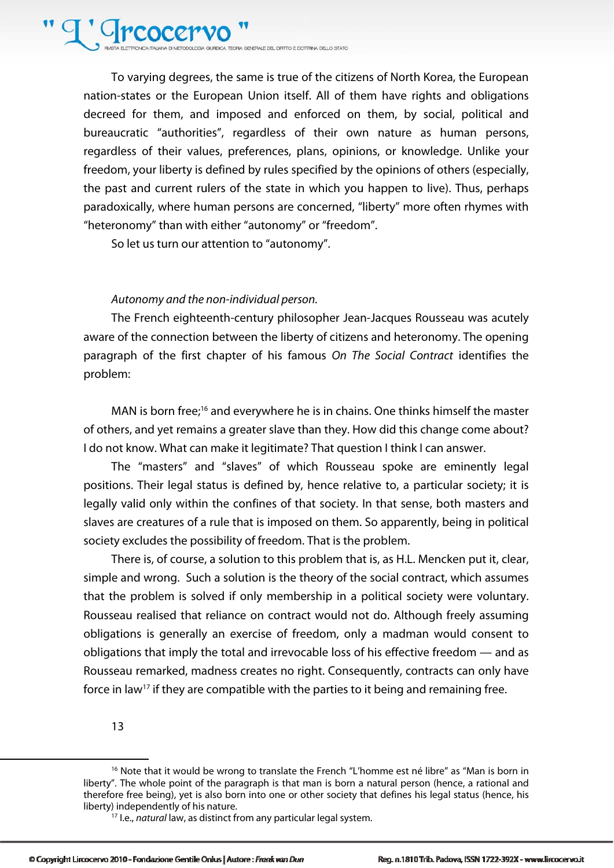### <sup>T</sup>' Greocery

A GURDICA TEORIA GRAFRAJE DEL DIRITTO E DOTTRINA DELLO STATO

To varying degrees, the same is true of the citizens of North Korea, the European nation-states or the European Union itself. All of them have rights and obligations decreed for them, and imposed and enforced on them, by social, political and bureaucratic "authorities", regardless of their own nature as human persons, regardless of their values, preferences, plans, opinions, or knowledge. Unlike your freedom, your liberty is defined by rules specified by the opinions of others (especially, the past and current rulers of the state in which you happen to live). Thus, perhaps paradoxically, where human persons are concerned, "liberty" more often rhymes with "heteronomy" than with either "autonomy" or "freedom".

So let us turn our attention to "autonomy".

#### Autonomy and the non-individual person.

The French eighteenth-century philosopher Jean-Jacques Rousseau was acutely aware of the connection between the liberty of citizens and heteronomy. The opening paragraph of the first chapter of his famous On The Social Contract identifies the problem:

MAN is born free;<sup>16</sup> and everywhere he is in chains. One thinks himself the master of others, and yet remains a greater slave than they. How did this change come about? I do not know. What can make it legitimate? That question I think I can answer.

The "masters" and "slaves" of which Rousseau spoke are eminently legal positions. Their legal status is defined by, hence relative to, a particular society; it is legally valid only within the confines of that society. In that sense, both masters and slaves are creatures of a rule that is imposed on them. So apparently, being in political society excludes the possibility of freedom. That is the problem.

There is, of course, a solution to this problem that is, as H.L. Mencken put it, clear, simple and wrong. Such a solution is the theory of the social contract, which assumes that the problem is solved if only membership in a political society were voluntary. Rousseau realised that reliance on contract would not do. Although freely assuming obligations is generally an exercise of freedom, only a madman would consent to obligations that imply the total and irrevocable loss of his effective freedom — and as Rousseau remarked, madness creates no right. Consequently, contracts can only have force in law<sup>17</sup> if they are compatible with the parties to it being and remaining free.

13

<sup>&</sup>lt;sup>16</sup> Note that it would be wrong to translate the French "L'homme est né libre" as "Man is born in liberty". The whole point of the paragraph is that man is born a natural person (hence, a rational and therefore free being), yet is also born into one or other society that defines his legal status (hence, his liberty) independently of his nature.<br><sup>17</sup> I.e., *natural* law, as distinct from any particular legal system.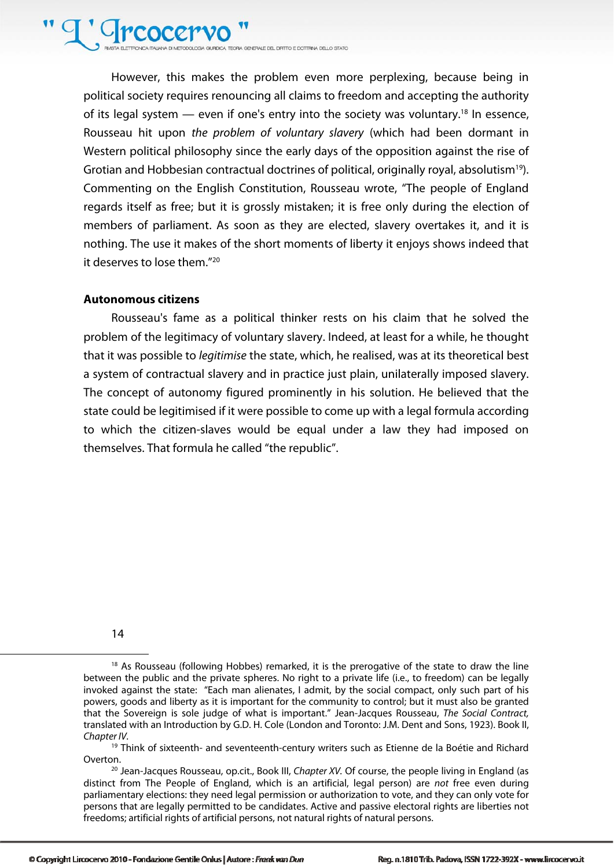

.<br>QLOGIA GIURDICA TEORIA GENERALE DEL DIRITTO E DOTTRINA DELLO STATO

However, this makes the problem even more perplexing, because being in political society requires renouncing all claims to freedom and accepting the authority of its legal system  $-$  even if one's entry into the society was voluntary.<sup>18</sup> In essence, Rousseau hit upon the problem of voluntary slavery (which had been dormant in Western political philosophy since the early days of the opposition against the rise of Grotian and Hobbesian contractual doctrines of political, originally royal, absolutism<sup>19</sup>). Commenting on the English Constitution, Rousseau wrote, "The people of England regards itself as free; but it is grossly mistaken; it is free only during the election of members of parliament. As soon as they are elected, slavery overtakes it, and it is nothing. The use it makes of the short moments of liberty it enjoys shows indeed that it deserves to lose them."20

#### **Autonomous citizens**

Rousseau's fame as a political thinker rests on his claim that he solved the problem of the legitimacy of voluntary slavery. Indeed, at least for a while, he thought that it was possible to *legitimise* the state, which, he realised, was at its theoretical best a system of contractual slavery and in practice just plain, unilaterally imposed slavery. The concept of autonomy figured prominently in his solution. He believed that the state could be legitimised if it were possible to come up with a legal formula according to which the citizen-slaves would be equal under a law they had imposed on themselves. That formula he called "the republic".

14

 $18$  As Rousseau (following Hobbes) remarked, it is the prerogative of the state to draw the line between the public and the private spheres. No right to a private life (i.e., to freedom) can be legally invoked against the state: "Each man alienates, I admit, by the social compact, only such part of his powers, goods and liberty as it is important for the community to control; but it must also be granted that the Sovereign is sole judge of what is important." Jean-Jacques Rousseau, The Social Contract, translated with an Introduction by G.D. H. Cole (London and Toronto: J.M. Dent and Sons, 1923). Book II, Chapter IV.

<sup>&</sup>lt;sup>19</sup> Think of sixteenth- and seventeenth-century writers such as Etienne de la Boétie and Richard Overton.<br><sup>20</sup> Jean-Jacques Rousseau, op.cit., Book III, *Chapter XV*. Of course, the people living in England (as

distinct from The People of England, which is an artificial, legal person) are not free even during parliamentary elections: they need legal permission or authorization to vote, and they can only vote for persons that are legally permitted to be candidates. Active and passive electoral rights are liberties not freedoms; artificial rights of artificial persons, not natural rights of natural persons.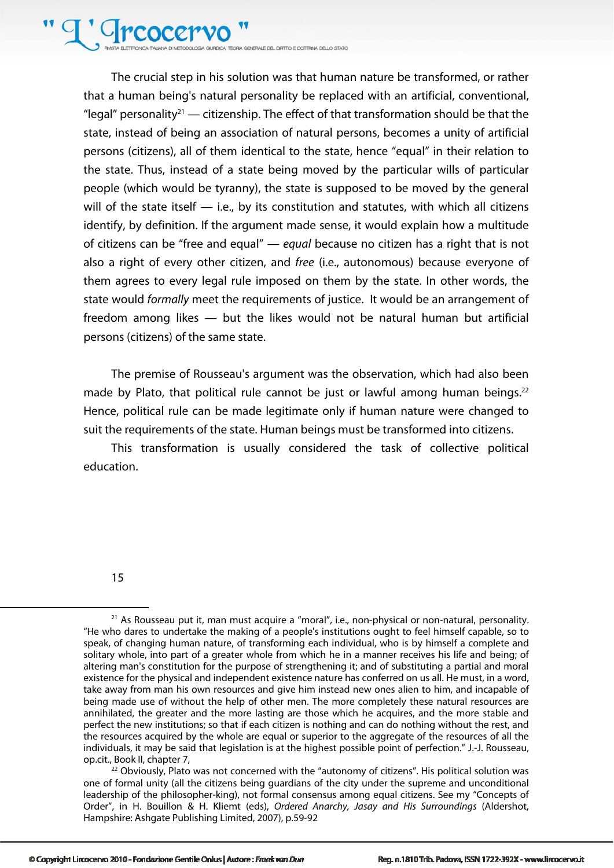<sup>T</sup> Greocery QUOGA GIURDICA TEORIA GENERALE DEL DIRITTO E DOTTRINA DELLO STATO

The crucial step in his solution was that human nature be transformed, or rather that a human being's natural personality be replaced with an artificial, conventional, "legal" personality<sup>21</sup> — citizenship. The effect of that transformation should be that the state, instead of being an association of natural persons, becomes a unity of artificial persons (citizens), all of them identical to the state, hence "equal" in their relation to the state. Thus, instead of a state being moved by the particular wills of particular people (which would be tyranny), the state is supposed to be moved by the general will of the state itself  $-$  i.e., by its constitution and statutes, with which all citizens identify, by definition. If the argument made sense, it would explain how a multitude of citizens can be "free and equal"  $-$  equal because no citizen has a right that is not also a right of every other citizen, and free (i.e., autonomous) because everyone of them agrees to every legal rule imposed on them by the state. In other words, the state would formally meet the requirements of justice. It would be an arrangement of freedom among likes — but the likes would not be natural human but artificial persons (citizens) of the same state.

The premise of Rousseau's argument was the observation, which had also been made by Plato, that political rule cannot be just or lawful among human beings. $22$ Hence, political rule can be made legitimate only if human nature were changed to suit the requirements of the state. Human beings must be transformed into citizens.

This transformation is usually considered the task of collective political education.

15

l

one of formal unity (all the citizens being guardians of the city under the supreme and unconditional leadership of the philosopher-king), not formal consensus among equal citizens. See my "Concepts of Order", in H. Bouillon & H. Kliemt (eds), Ordered Anarchy, Jasay and His Surroundings (Aldershot, Hampshire: Ashgate Publishing Limited, 2007), p.59-92

 $21$  As Rousseau put it, man must acquire a "moral", i.e., non-physical or non-natural, personality. "He who dares to undertake the making of a people's institutions ought to feel himself capable, so to speak, of changing human nature, of transforming each individual, who is by himself a complete and solitary whole, into part of a greater whole from which he in a manner receives his life and being; of altering man's constitution for the purpose of strengthening it; and of substituting a partial and moral existence for the physical and independent existence nature has conferred on us all. He must, in a word, take away from man his own resources and give him instead new ones alien to him, and incapable of being made use of without the help of other men. The more completely these natural resources are annihilated, the greater and the more lasting are those which he acquires, and the more stable and perfect the new institutions; so that if each citizen is nothing and can do nothing without the rest, and the resources acquired by the whole are equal or superior to the aggregate of the resources of all the individuals, it may be said that legislation is at the highest possible point of perfection." J.-J. Rousseau, op.cit., Book II, chapter 7, 22 Obviously, Plato was not concerned with the "autonomy of citizens". His political solution was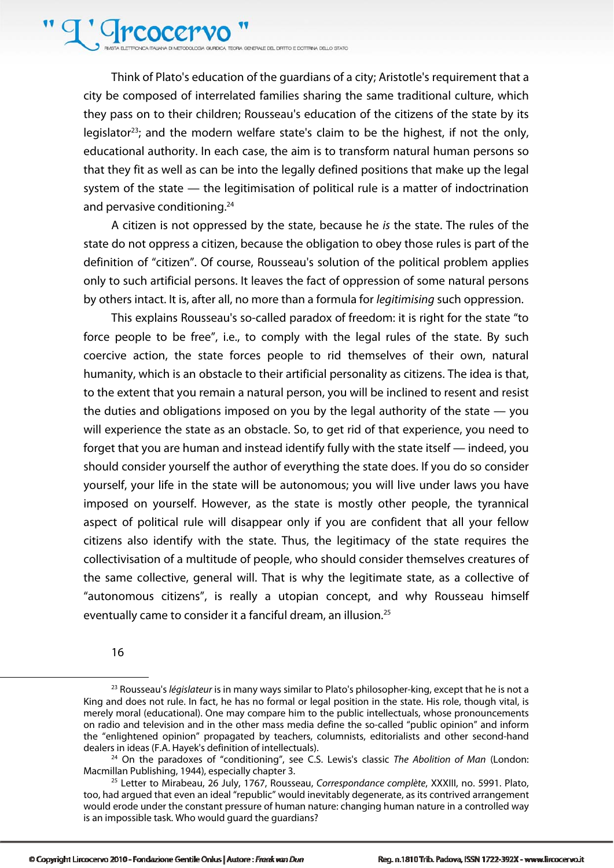### T' Greocery

A GURDICA TEORA GENERALE DEL DIRITTO E DOTTRINA DELLO STATO

Think of Plato's education of the guardians of a city; Aristotle's requirement that a city be composed of interrelated families sharing the same traditional culture, which they pass on to their children; Rousseau's education of the citizens of the state by its legislator<sup>23</sup>; and the modern welfare state's claim to be the highest, if not the only, educational authority. In each case, the aim is to transform natural human persons so that they fit as well as can be into the legally defined positions that make up the legal system of the state — the legitimisation of political rule is a matter of indoctrination and pervasive conditioning.<sup>24</sup>

A citizen is not oppressed by the state, because he is the state. The rules of the state do not oppress a citizen, because the obligation to obey those rules is part of the definition of "citizen". Of course, Rousseau's solution of the political problem applies only to such artificial persons. It leaves the fact of oppression of some natural persons by others intact. It is, after all, no more than a formula for legitimising such oppression.

This explains Rousseau's so-called paradox of freedom: it is right for the state "to force people to be free", i.e., to comply with the legal rules of the state. By such coercive action, the state forces people to rid themselves of their own, natural humanity, which is an obstacle to their artificial personality as citizens. The idea is that, to the extent that you remain a natural person, you will be inclined to resent and resist the duties and obligations imposed on you by the legal authority of the state — you will experience the state as an obstacle. So, to get rid of that experience, you need to forget that you are human and instead identify fully with the state itself — indeed, you should consider yourself the author of everything the state does. If you do so consider yourself, your life in the state will be autonomous; you will live under laws you have imposed on yourself. However, as the state is mostly other people, the tyrannical aspect of political rule will disappear only if you are confident that all your fellow citizens also identify with the state. Thus, the legitimacy of the state requires the collectivisation of a multitude of people, who should consider themselves creatures of the same collective, general will. That is why the legitimate state, as a collective of "autonomous citizens", is really a utopian concept, and why Rousseau himself eventually came to consider it a fanciful dream, an illusion.<sup>25</sup>

<sup>16</sup> 

 $23$  Rousseau's *législateur* is in many ways similar to Plato's philosopher-king, except that he is not a King and does not rule. In fact, he has no formal or legal position in the state. His role, though vital, is merely moral (educational). One may compare him to the public intellectuals, whose pronouncements on radio and television and in the other mass media define the so-called "public opinion" and inform the "enlightened opinion" propagated by teachers, columnists, editorialists and other second-hand dealers in ideas (F.A. Hayek's definition of intellectuals).

<sup>&</sup>lt;sup>24</sup> On the paradoxes of "conditioning", see C.S. Lewis's classic *The Abolition of Man* (London: Macmillan Publishing, 1944), especially chapter 3.

<sup>&</sup>lt;sup>25</sup> Letter to Mirabeau, 26 July, 1767, Rousseau, Correspondance complète, XXXIII, no. 5991. Plato, too, had argued that even an ideal "republic" would inevitably degenerate, as its contrived arrangement would erode under the constant pressure of human nature: changing human nature in a controlled way is an impossible task. Who would guard the guardians?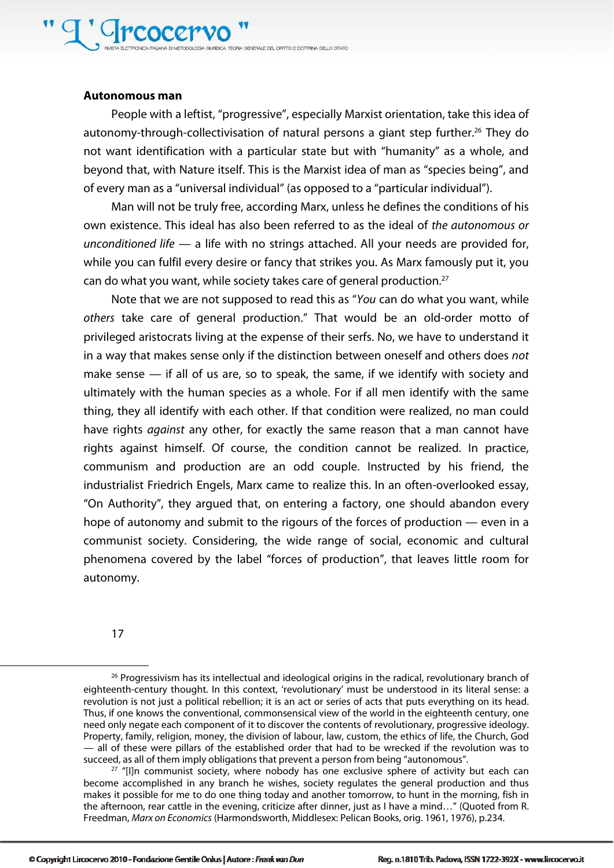#### **Autonomous man**

People with a leftist, "progressive", especially Marxist orientation, take this idea of autonomy-through-collectivisation of natural persons a giant step further.<sup>26</sup> They do not want identification with a particular state but with "humanity" as a whole, and beyond that, with Nature itself. This is the Marxist idea of man as "species being", and of every man as a "universal individual" (as opposed to a "particular individual").

Man will not be truly free, according Marx, unless he defines the conditions of his own existence. This ideal has also been referred to as the ideal of the autonomous or unconditioned life — a life with no strings attached. All your needs are provided for, while you can fulfil every desire or fancy that strikes you. As Marx famously put it, you can do what you want, while society takes care of general production.<sup>27</sup>

Note that we are not supposed to read this as "You can do what you want, while others take care of general production." That would be an old-order motto of privileged aristocrats living at the expense of their serfs. No, we have to understand it in a way that makes sense only if the distinction between oneself and others does not make sense — if all of us are, so to speak, the same, if we identify with society and ultimately with the human species as a whole. For if all men identify with the same thing, they all identify with each other. If that condition were realized, no man could have rights *against* any other, for exactly the same reason that a man cannot have rights against himself. Of course, the condition cannot be realized. In practice, communism and production are an odd couple. Instructed by his friend, the industrialist Friedrich Engels, Marx came to realize this. In an often-overlooked essay, "On Authority", they argued that, on entering a factory, one should abandon every hope of autonomy and submit to the rigours of the forces of production — even in a communist society. Considering, the wide range of social, economic and cultural phenomena covered by the label "forces of production", that leaves little room for autonomy.

17

<sup>&</sup>lt;sup>26</sup> Progressivism has its intellectual and ideological origins in the radical, revolutionary branch of eighteenth-century thought. In this context, 'revolutionary' must be understood in its literal sense: a revolution is not just a political rebellion; it is an act or series of acts that puts everything on its head. Thus, if one knows the conventional, commonsensical view of the world in the eighteenth century, one need only negate each component of it to discover the contents of revolutionary, progressive ideology. Property, family, religion, money, the division of labour, law, custom, the ethics of life, the Church, God — all of these were pillars of the established order that had to be wrecked if the revolution was to succeed, as all of them imply obligations that prevent a person from being "autonomous".

 $27$  "[I]n communist society, where nobody has one exclusive sphere of activity but each can become accomplished in any branch he wishes, society regulates the general production and thus makes it possible for me to do one thing today and another tomorrow, to hunt in the morning, fish in the afternoon, rear cattle in the evening, criticize after dinner, just as I have a mind…" (Quoted from R. Freedman, Marx on Economics (Harmondsworth, Middlesex: Pelican Books, orig. 1961, 1976), p.234.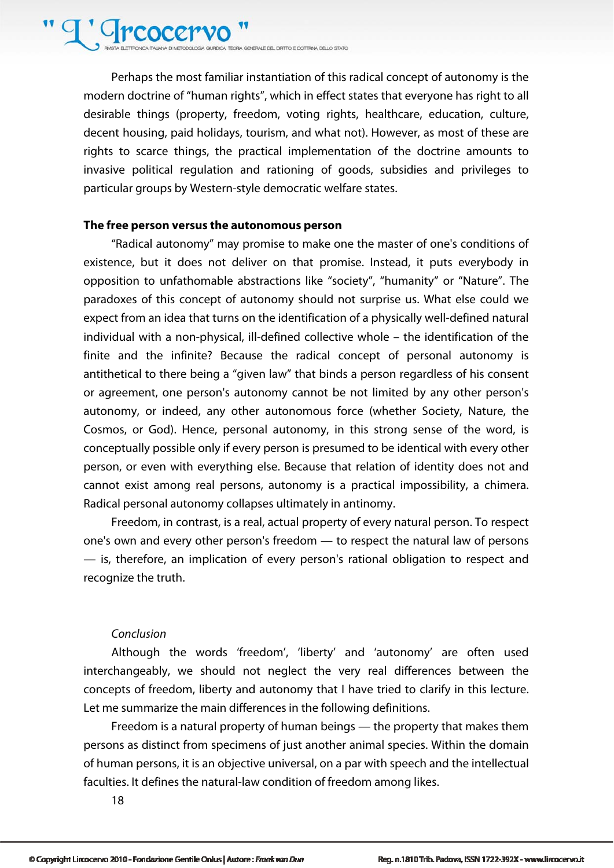# T' Greocery

**DICA TECRIA GRAFRALE DEL DIRITTO E DOTTRINA DELLO STATO** 

Perhaps the most familiar instantiation of this radical concept of autonomy is the modern doctrine of "human rights", which in effect states that everyone has right to all desirable things (property, freedom, voting rights, healthcare, education, culture, decent housing, paid holidays, tourism, and what not). However, as most of these are rights to scarce things, the practical implementation of the doctrine amounts to invasive political regulation and rationing of goods, subsidies and privileges to particular groups by Western-style democratic welfare states.

#### **The free person versus the autonomous person**

"Radical autonomy" may promise to make one the master of one's conditions of existence, but it does not deliver on that promise. Instead, it puts everybody in opposition to unfathomable abstractions like "society", "humanity" or "Nature". The paradoxes of this concept of autonomy should not surprise us. What else could we expect from an idea that turns on the identification of a physically well-defined natural individual with a non-physical, ill-defined collective whole – the identification of the finite and the infinite? Because the radical concept of personal autonomy is antithetical to there being a "given law" that binds a person regardless of his consent or agreement, one person's autonomy cannot be not limited by any other person's autonomy, or indeed, any other autonomous force (whether Society, Nature, the Cosmos, or God). Hence, personal autonomy, in this strong sense of the word, is conceptually possible only if every person is presumed to be identical with every other person, or even with everything else. Because that relation of identity does not and cannot exist among real persons, autonomy is a practical impossibility, a chimera. Radical personal autonomy collapses ultimately in antinomy.

Freedom, in contrast, is a real, actual property of every natural person. To respect one's own and every other person's freedom — to respect the natural law of persons — is, therefore, an implication of every person's rational obligation to respect and recognize the truth.

#### Conclusion

Although the words 'freedom', 'liberty' and 'autonomy' are often used interchangeably, we should not neglect the very real differences between the concepts of freedom, liberty and autonomy that I have tried to clarify in this lecture. Let me summarize the main differences in the following definitions.

Freedom is a natural property of human beings — the property that makes them persons as distinct from specimens of just another animal species. Within the domain of human persons, it is an objective universal, on a par with speech and the intellectual faculties. It defines the natural-law condition of freedom among likes.

18